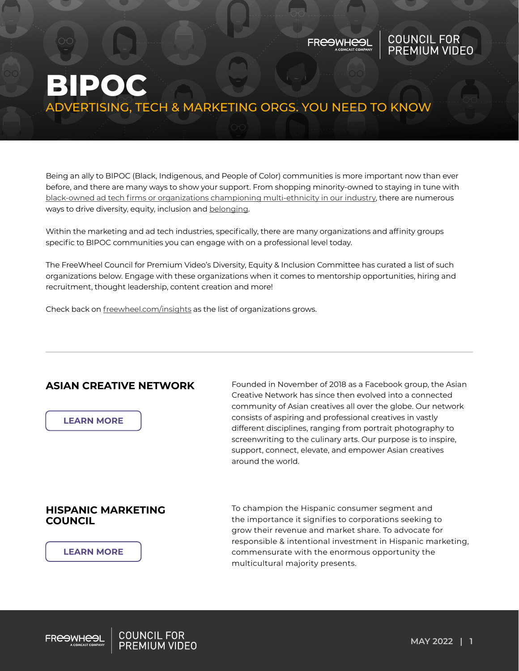### FR<del>CO</del>WH<del>CO</del>I

# COUNCIL FOR<br>PREMIUM VIDEO

## **BIPOC** ADVERTISING, TECH & MARKETING ORGS. YOU NEED TO KNOW

Being an ally to BIPOC (Black, Indigenous, and People of Color) communities is more important now than ever before, and there are many ways to show your support. From shopping minority-owned to staying in tune with [black-owned ad tech firms or organizations championing multi-ethnicity in our industry](https://www.adweek.com/brand-marketing/black-lumascape-black-owned-ad-tech-firms/), there are numerous ways to drive diversity, equity, inclusion and [belonging.](https://www.freewheel.com/insights/belonging-why-diversity-equity-and-inclusion-matter)

Within the marketing and ad tech industries, specifically, there are many organizations and affinity groups specific to BIPOC communities you can engage with on a professional level today.

The FreeWheel Council for Premium Video's Diversity, Equity & Inclusion Committee has curated a list of such organizations below. Engage with these organizations when it comes to mentorship opportunities, hiring and recruitment, thought leadership, content creation and more!

Check back on [freewheel.com/insights](https://www.freewheel.com/insights/bipoc-advertising-tech-marketing-orgs-you-need-to-know) as the list of organizations grows.

### **ASIAN CREATIVE NETWORK**

**[LEARN MORE](https://asiancreativenetwork.org/)**

Founded in November of 2018 as a Facebook group, the Asian Creative Network has since then evolved into a connected community of Asian creatives all over the globe. Our network consists of aspiring and professional creatives in vastly different disciplines, ranging from portrait photography to screenwriting to the culinary arts. Our purpose is to inspire, support, connect, elevate, and empower Asian creatives around the world.

### **HISPANIC MARKETING COUNCIL**

**[LEARN MORE](https://hispanicmarketingcouncil.org/)**

To champion the Hispanic consumer segment and the importance it signifies to corporations seeking to grow their revenue and market share. To advocate for responsible & intentional investment in Hispanic marketing, commensurate with the enormous opportunity the multicultural majority presents.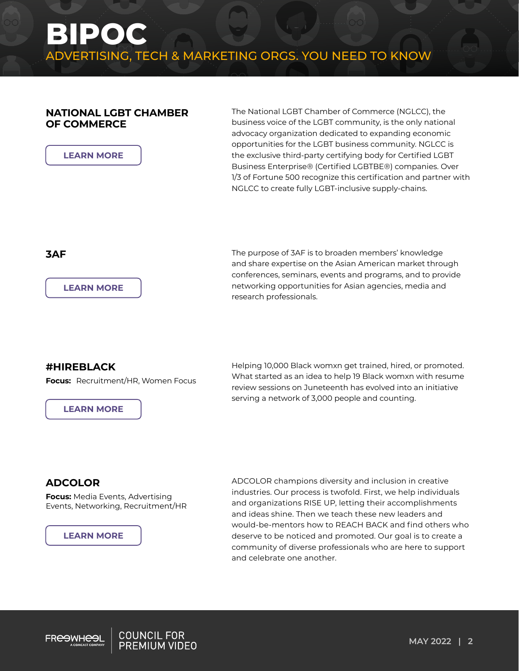### **NATIONAL LGBT CHAMBER OF COMMERCE**

The National LGBT Chamber of Commerce (NGLCC), the business voice of the LGBT community, is the only national advocacy organization dedicated to expanding economic opportunities for the LGBT business community. NGLCC is the exclusive third-party certifying body for Certified LGBT Business Enterprise® (Certified LGBTBE®) companies. Over 1/3 of Fortune 500 recognize this certification and partner with NGLCC to create fully LGBT-inclusive supply-chains.

**[LEARN MORE](http://www.3af.org/)**

**[LEARN MORE](https://www.nglcc.org/)**

**3AF The purpose of 3AF is to broaden members' knowledge 3AF** and share expertise on the Asian American market through conferences, seminars, events and programs, and to provide networking opportunities for Asian agencies, media and research professionals.

### **#HIREBLACK**

**Focus:** Recruitment/HR, Women Focus

**[LEARN MORE](https://hireblacknow.com/)**

Helping 10,000 Black womxn get trained, hired, or promoted. What started as an idea to help 19 Black womxn with resume review sessions on Juneteenth has evolved into an initiative serving a network of 3,000 people and counting.

### **ADCOLOR**

**Focus:** Media Events, Advertising Events, Networking, Recruitment/HR

#### **[LEARN MORE](https://adcolor.org/)**

ADCOLOR champions diversity and inclusion in creative industries. Our process is twofold. First, we help individuals and organizations RISE UP, letting their accomplishments and ideas shine. Then we teach these new leaders and would-be-mentors how to REACH BACK and find others who deserve to be noticed and promoted. Our goal is to create a community of diverse professionals who are here to support and celebrate one another.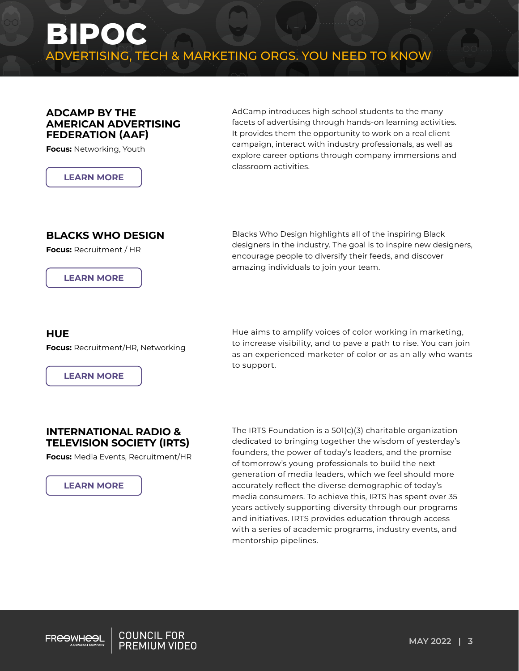### **ADCAMP BY THE AMERICAN ADVERTISING FEDERATION (AAF)**

**Focus:** Networking, Youth

**[LEARN MORE](https://aaf.org/adcamp/)**

AdCamp introduces high school students to the many facets of advertising through hands-on learning activities. It provides them the opportunity to work on a real client campaign, interact with industry professionals, as well as explore career options through company immersions and classroom activities.

### **BLACKS WHO DESIGN**

**Focus:** Recruitment / HR

**[LEARN MORE](https://blackswho.design/)**

Blacks Who Design highlights all of the inspiring Black designers in the industry. The goal is to inspire new designers, encourage people to diversify their feeds, and discover amazing individuals to join your team.

### **HUE**

**Focus:** Recruitment/HR, Networking

**[LEARN MORE](https://www.wearehue.org/)**

Hue aims to amplify voices of color working in marketing, to increase visibility, and to pave a path to rise. You can join as an experienced marketer of color or as an ally who wants to support.

### **INTERNATIONAL RADIO & TELEVISION SOCIETY (IRTS)**

**Focus:** Media Events, Recruitment/HR



The IRTS Foundation is a 501(c)(3) charitable organization dedicated to bringing together the wisdom of yesterday's founders, the power of today's leaders, and the promise of tomorrow's young professionals to build the next generation of media leaders, which we feel should more accurately reflect the diverse demographic of today's media consumers. To achieve this, IRTS has spent over 35 years actively supporting diversity through our programs and initiatives. IRTS provides education through access with a series of academic programs, industry events, and mentorship pipelines.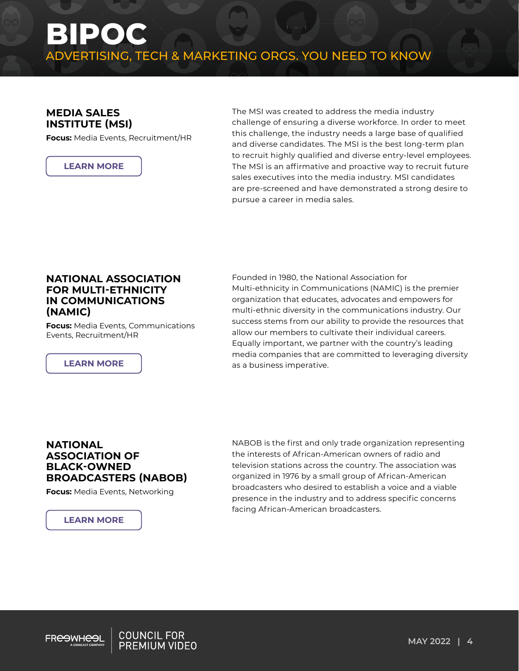## **BIPOC** ADVERTISING, TECH & MARKETING ORGS. YOU NEED TO KNOW

### **MEDIA SALES INSTITUTE (MSI)**

**Focus:** Media Events, Recruitment/HR



The MSI was created to address the media industry challenge of ensuring a diverse workforce. In order to meet this challenge, the industry needs a large base of qualified and diverse candidates. The MSI is the best long-term plan to recruit highly qualified and diverse entry-level employees. The MSI is an affirmative and proactive way to recruit future sales executives into the media industry. MSI candidates are pre-screened and have demonstrated a strong desire to pursue a career in media sales.

### **NATIONAL ASSOCIATION FOR MULTI-ETHNICITY IN COMMUNICATIONS (NAMIC)**

**Focus:** Media Events, Communications Events, Recruitment/HR

Founded in 1980, the National Association for Multi-ethnicity in Communications (NAMIC) is the premier organization that educates, advocates and empowers for multi-ethnic diversity in the communications industry. Our success stems from our ability to provide the resources that allow our members to cultivate their individual careers. Equally important, we partner with the country's leading media companies that are committed to leveraging diversity **[LEARN MORE](https://namic.com/) as a business imperative.** 

### **NATIONAL ASSOCIATION OF BLACK-OWNED BROADCASTERS (NABOB)**

**Focus:** Media Events, Networking

**[LEARN MORE](http://nabob.org/)**

NABOB is the first and only trade organization representing the interests of African-American owners of radio and television stations across the country. The association was organized in 1976 by a small group of African-American broadcasters who desired to establish a voice and a viable presence in the industry and to address specific concerns facing African-American broadcasters.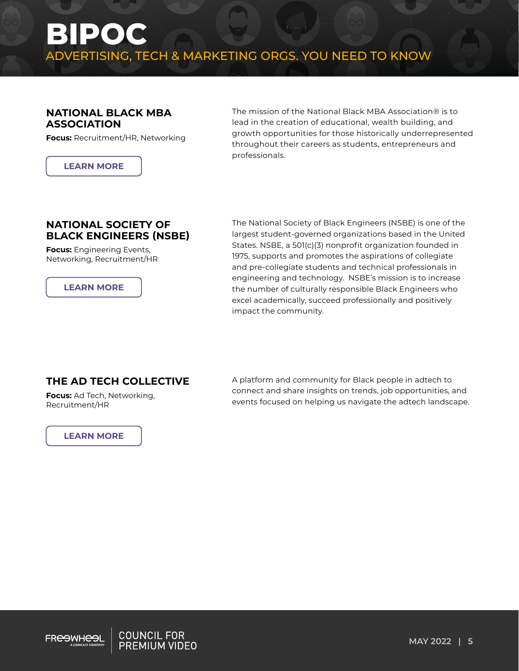### **NATIONAL BLACK MBA ASSOCIATION**

**Focus:** Recruitment/HR, Networking

**[LEARN MORE](https://nbmbaa.org/)**

The mission of the National Black MBA Association® is to lead in the creation of educational, wealth building, and growth opportunities for those historically underrepresented throughout their careers as students, entrepreneurs and professionals.

### **NATIONAL SOCIETY OF BLACK ENGINEERS (NSBE)**

**Focus:** Engineering Events, Networking, Recruitment/HR

**[LEARN MORE](https://nsbe.org/home.aspx)**

The National Society of Black Engineers (NSBE) is one of the largest student-governed organizations based in the United States. NSBE, a 501(c)(3) nonprofit organization founded in 1975, supports and promotes the aspirations of collegiate and pre-collegiate students and technical professionals in engineering and technology. NSBE's mission is to increase the number of culturally responsible Black Engineers who excel academically, succeed professionally and positively impact the community.

### **THE AD TECH COLLECTIVE**

**Focus:** Ad Tech, Networking, Recruitment/HR

### **[LEARN MORE](https://theadtechcollective.com/)**

A platform and community for Black people in adtech to connect and share insights on trends, job opportunities, and events focused on helping us navigate the adtech landscape.